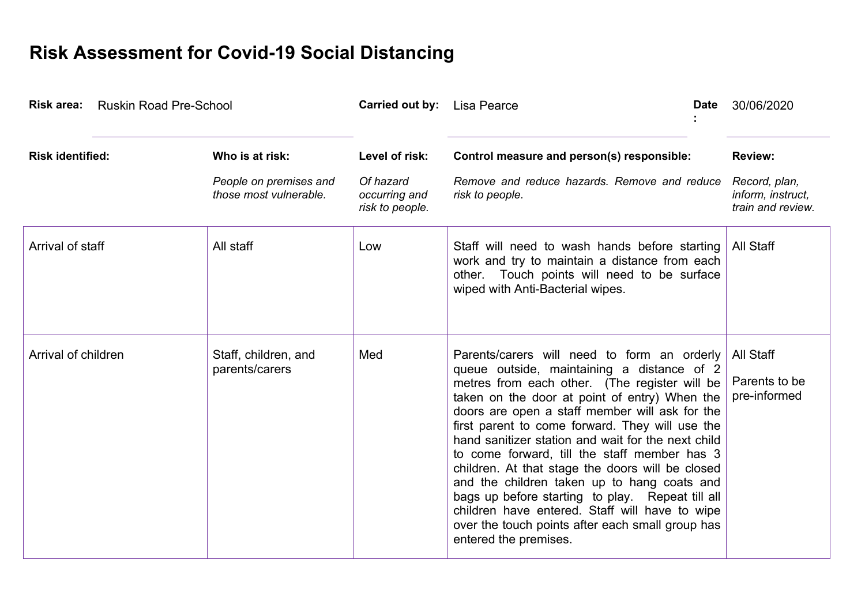## **Risk Assessment for Covid-19 Social Distancing**

| Risk area: Ruskin Road Pre-School |                                                  | <b>Carried out by:</b> Lisa Pearce            |                                                                                                                                                                                                                                                                                                                                                                                                                                                                                                                                                                                                                                                                                              | <b>Date</b> | 30/06/2020                                              |
|-----------------------------------|--------------------------------------------------|-----------------------------------------------|----------------------------------------------------------------------------------------------------------------------------------------------------------------------------------------------------------------------------------------------------------------------------------------------------------------------------------------------------------------------------------------------------------------------------------------------------------------------------------------------------------------------------------------------------------------------------------------------------------------------------------------------------------------------------------------------|-------------|---------------------------------------------------------|
| <b>Risk identified:</b>           | Who is at risk:                                  | Level of risk:                                | Control measure and person(s) responsible:                                                                                                                                                                                                                                                                                                                                                                                                                                                                                                                                                                                                                                                   |             | <b>Review:</b>                                          |
|                                   | People on premises and<br>those most vulnerable. | Of hazard<br>occurring and<br>risk to people. | Remove and reduce hazards. Remove and reduce<br>risk to people.                                                                                                                                                                                                                                                                                                                                                                                                                                                                                                                                                                                                                              |             | Record, plan,<br>inform, instruct,<br>train and review. |
| Arrival of staff                  | All staff                                        | Low                                           | Staff will need to wash hands before starting<br>work and try to maintain a distance from each<br>other. Touch points will need to be surface<br>wiped with Anti-Bacterial wipes.                                                                                                                                                                                                                                                                                                                                                                                                                                                                                                            |             | All Staff                                               |
| Arrival of children               | Staff, children, and<br>parents/carers           | Med                                           | Parents/carers will need to form an orderly<br>queue outside, maintaining a distance of 2<br>metres from each other. (The register will be<br>taken on the door at point of entry) When the<br>doors are open a staff member will ask for the<br>first parent to come forward. They will use the<br>hand sanitizer station and wait for the next child<br>to come forward, till the staff member has 3<br>children. At that stage the doors will be closed<br>and the children taken up to hang coats and<br>bags up before starting to play. Repeat till all<br>children have entered. Staff will have to wipe<br>over the touch points after each small group has<br>entered the premises. |             | All Staff<br>Parents to be<br>pre-informed              |